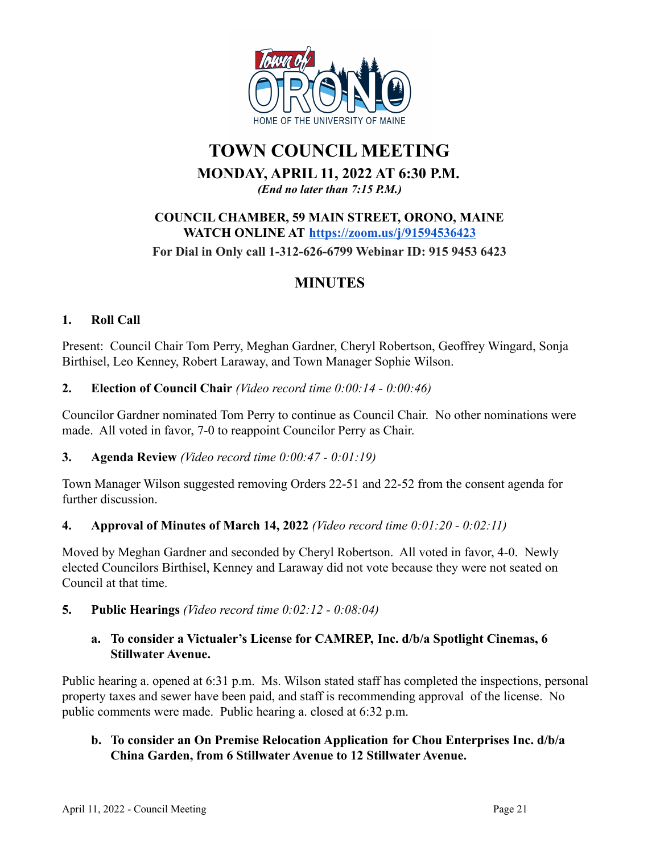

# **TOWN COUNCIL MEETING MONDAY, APRIL 11, 2022 AT 6:30 P.M.**

*(End no later than 7:15 P.M.)*

## **COUNCIL CHAMBER, 59 MAIN STREET, ORONO, MAINE WATCH ONLINE AT <https://zoom.us/j/91594536423> For Dial in Only call 1-312-626-6799 Webinar ID: 915 9453 6423**

## **MINUTES**

## **1. Roll Call**

Present: Council Chair Tom Perry, Meghan Gardner, Cheryl Robertson, Geoffrey Wingard, Sonja Birthisel, Leo Kenney, Robert Laraway, and Town Manager Sophie Wilson.

## **2. Election of Council Chair** *(Video record time 0:00:14 - 0:00:46)*

Councilor Gardner nominated Tom Perry to continue as Council Chair. No other nominations were made. All voted in favor, 7-0 to reappoint Councilor Perry as Chair.

## **3. Agenda Review** *(Video record time 0:00:47 - 0:01:19)*

Town Manager Wilson suggested removing Orders 22-51 and 22-52 from the consent agenda for further discussion.

## **4. Approval of Minutes of March 14, 2022** *(Video record time 0:01:20 - 0:02:11)*

Moved by Meghan Gardner and seconded by Cheryl Robertson. All voted in favor, 4-0. Newly elected Councilors Birthisel, Kenney and Laraway did not vote because they were not seated on Council at that time.

**5. Public Hearings** *(Video record time 0:02:12 - 0:08:04)*

## **a. To consider a Victualer's License for CAMREP, Inc. d/b/a Spotlight Cinemas, 6 Stillwater Avenue.**

Public hearing a. opened at 6:31 p.m. Ms. Wilson stated staff has completed the inspections, personal property taxes and sewer have been paid, and staff is recommending approval of the license. No public comments were made. Public hearing a. closed at 6:32 p.m.

## **b. To consider an On Premise Relocation Application for Chou Enterprises Inc. d/b/a China Garden, from 6 Stillwater Avenue to 12 Stillwater Avenue.**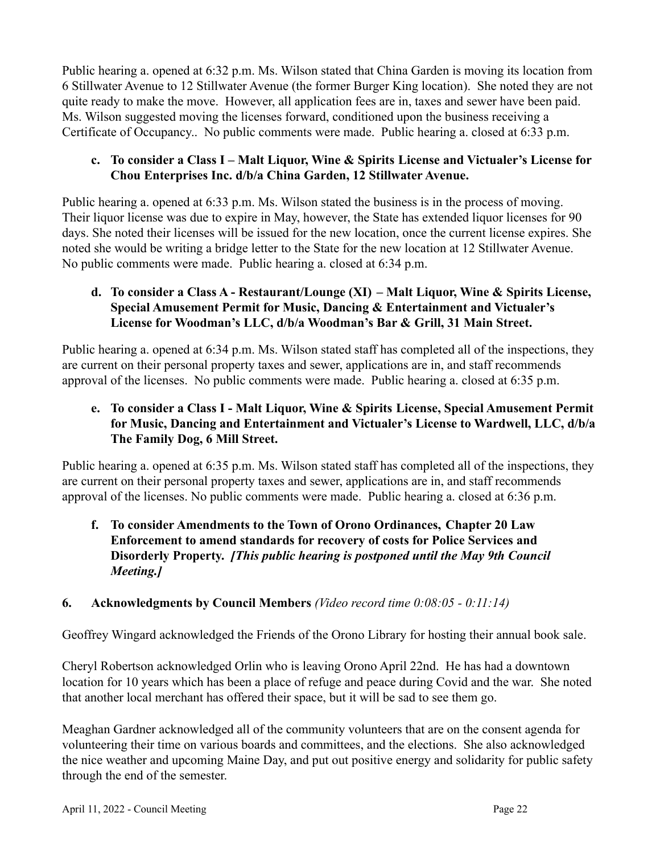Public hearing a. opened at 6:32 p.m. Ms. Wilson stated that China Garden is moving its location from 6 Stillwater Avenue to 12 Stillwater Avenue (the former Burger King location). She noted they are not quite ready to make the move. However, all application fees are in, taxes and sewer have been paid. Ms. Wilson suggested moving the licenses forward, conditioned upon the business receiving a Certificate of Occupancy.. No public comments were made. Public hearing a. closed at 6:33 p.m.

## **c. To consider a Class I – Malt Liquor, Wine & Spirits License and Victualer's License for Chou Enterprises Inc. d/b/a China Garden, 12 Stillwater Avenue.**

Public hearing a. opened at 6:33 p.m. Ms. Wilson stated the business is in the process of moving. Their liquor license was due to expire in May, however, the State has extended liquor licenses for 90 days. She noted their licenses will be issued for the new location, once the current license expires. She noted she would be writing a bridge letter to the State for the new location at 12 Stillwater Avenue. No public comments were made. Public hearing a. closed at 6:34 p.m.

## **d. To consider a Class A - Restaurant/Lounge (XI) – Malt Liquor, Wine & Spirits License, Special Amusement Permit for Music, Dancing & Entertainment and Victualer's License for Woodman's LLC, d/b/a Woodman's Bar & Grill, 31 Main Street.**

Public hearing a. opened at 6:34 p.m. Ms. Wilson stated staff has completed all of the inspections, they are current on their personal property taxes and sewer, applications are in, and staff recommends approval of the licenses. No public comments were made. Public hearing a. closed at 6:35 p.m.

## **e. To consider a Class I - Malt Liquor, Wine & Spirits License, Special Amusement Permit for Music, Dancing and Entertainment and Victualer's License to Wardwell, LLC, d/b/a The Family Dog, 6 Mill Street.**

Public hearing a. opened at 6:35 p.m. Ms. Wilson stated staff has completed all of the inspections, they are current on their personal property taxes and sewer, applications are in, and staff recommends approval of the licenses. No public comments were made. Public hearing a. closed at 6:36 p.m.

## **f. To consider Amendments to the Town of Orono Ordinances, Chapter 20 Law Enforcement to amend standards for recovery of costs for Police Services and Disorderly Property.** *[This public hearing is postponed until the May 9th Council Meeting.]*

## **6. Acknowledgments by Council Members** *(Video record time 0:08:05 - 0:11:14)*

Geoffrey Wingard acknowledged the Friends of the Orono Library for hosting their annual book sale.

Cheryl Robertson acknowledged Orlin who is leaving Orono April 22nd. He has had a downtown location for 10 years which has been a place of refuge and peace during Covid and the war. She noted that another local merchant has offered their space, but it will be sad to see them go.

Meaghan Gardner acknowledged all of the community volunteers that are on the consent agenda for volunteering their time on various boards and committees, and the elections. She also acknowledged the nice weather and upcoming Maine Day, and put out positive energy and solidarity for public safety through the end of the semester.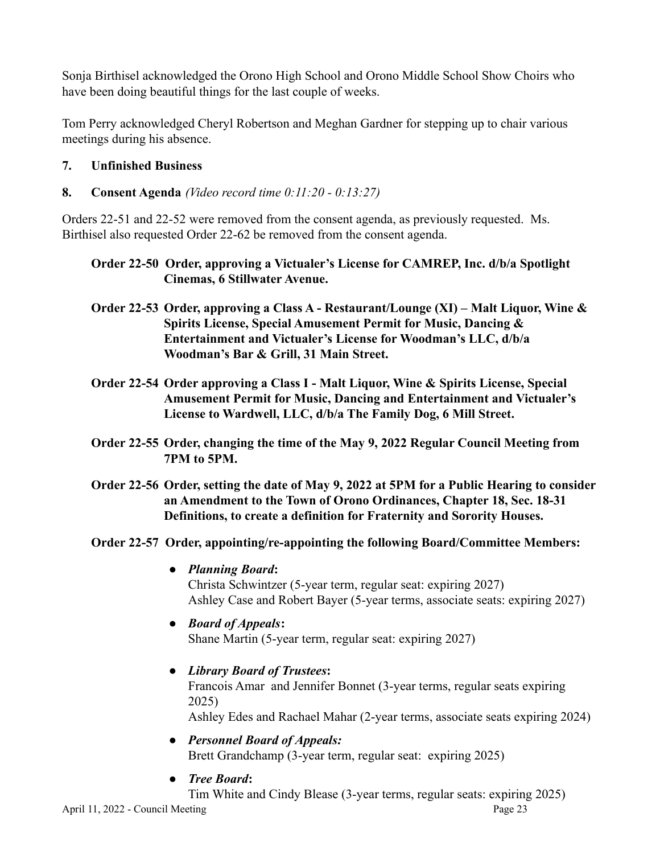Sonja Birthisel acknowledged the Orono High School and Orono Middle School Show Choirs who have been doing beautiful things for the last couple of weeks.

Tom Perry acknowledged Cheryl Robertson and Meghan Gardner for stepping up to chair various meetings during his absence.

## **7. Unfinished Business**

**8. Consent Agenda** *(Video record time 0:11:20 - 0:13:27)*

Orders 22-51 and 22-52 were removed from the consent agenda, as previously requested. Ms. Birthisel also requested Order 22-62 be removed from the consent agenda.

**Order 22-50 Order, approving a Victualer's License for CAMREP, Inc. d/b/a Spotlight Cinemas, 6 Stillwater Avenue.**

- **Order 22-53 Order, approving a Class A Restaurant/Lounge (XI) Malt Liquor, Wine & Spirits License, Special Amusement Permit for Music, Dancing & Entertainment and Victualer's License for Woodman's LLC, d/b/a Woodman's Bar & Grill, 31 Main Street.**
- **Order 22-54 Order approving a Class I Malt Liquor, Wine & Spirits License, Special Amusement Permit for Music, Dancing and Entertainment and Victualer's License to Wardwell, LLC, d/b/a The Family Dog, 6 Mill Street.**
- **Order 22-55 Order, changing the time of the May 9, 2022 Regular Council Meeting from 7PM to 5PM.**
- **Order 22-56 Order, setting the date of May 9, 2022 at 5PM for a Public Hearing to consider an Amendment to the Town of Orono Ordinances, Chapter 18, Sec. 18-31 Definitions, to create a definition for Fraternity and Sorority Houses.**
- **Order 22-57 Order, appointing/re-appointing the following Board/Committee Members:**
	- **●** *Planning Board***:** Christa Schwintzer (5-year term, regular seat: expiring 2027) Ashley Case and Robert Bayer (5-year terms, associate seats: expiring 2027)
	- **●** *Board of Appeals***:** Shane Martin (5-year term, regular seat: expiring 2027)
	- **●** *Library Board of Trustees***:** Francois Amar and Jennifer Bonnet (3-year terms, regular seats expiring 2025) Ashley Edes and Rachael Mahar (2-year terms, associate seats expiring 2024)
		-
	- **●** *Personnel Board of Appeals:* Brett Grandchamp (3-year term, regular seat: expiring 2025)
	- **●** *Tree Board***:**

Tim White and Cindy Blease (3-year terms, regular seats: expiring 2025)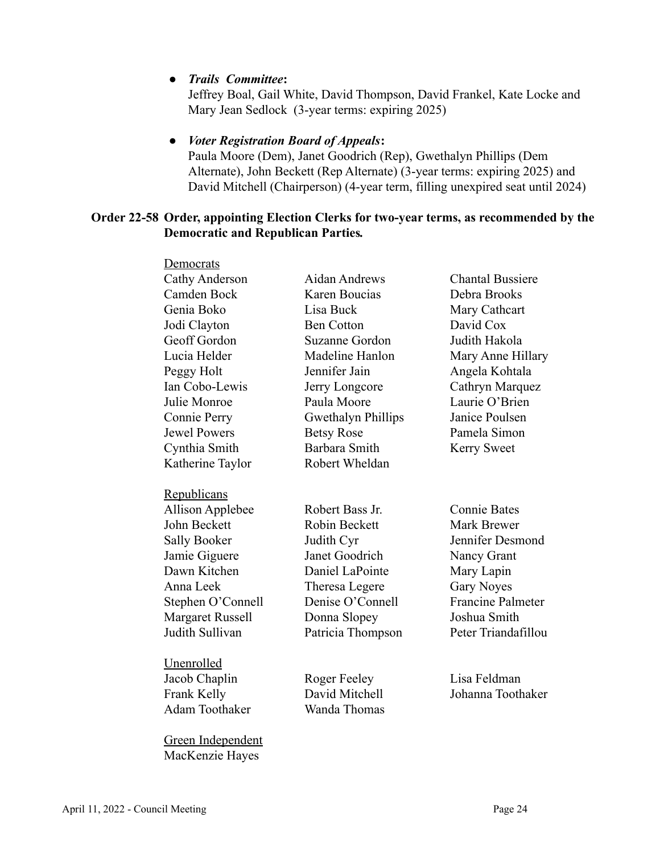#### **●** *Trails Committee***:**

Jeffrey Boal, Gail White, David Thompson, David Frankel, Kate Locke and Mary Jean Sedlock (3-year terms: expiring 2025)

## **●** *Voter Registration Board of Appeals***:**

Paula Moore (Dem), Janet Goodrich (Rep), Gwethalyn Phillips (Dem Alternate), John Beckett (Rep Alternate) (3-year terms: expiring 2025) and David Mitchell (Chairperson) (4-year term, filling unexpired seat until 2024)

#### **Order 22-58 Order, appointing Election Clerks for two-year terms, as recommended by the Democratic and Republican Parties***.*

| Democrats               |                           |                          |
|-------------------------|---------------------------|--------------------------|
| Cathy Anderson          | Aidan Andrews             | <b>Chantal Bussiere</b>  |
| Camden Bock             | Karen Boucias             | Debra Brooks             |
| Genia Boko              | Lisa Buck                 | Mary Cathcart            |
| Jodi Clayton            | <b>Ben Cotton</b>         | David Cox                |
| Geoff Gordon            | <b>Suzanne Gordon</b>     | Judith Hakola            |
| Lucia Helder            | Madeline Hanlon           | Mary Anne Hillary        |
| Peggy Holt              | Jennifer Jain             | Angela Kohtala           |
| Ian Cobo-Lewis          | Jerry Longcore            | Cathryn Marquez          |
| Julie Monroe            | Paula Moore               | Laurie O'Brien           |
| Connie Perry            | <b>Gwethalyn Phillips</b> | Janice Poulsen           |
| <b>Jewel Powers</b>     | <b>Betsy Rose</b>         | Pamela Simon             |
| Cynthia Smith           | Barbara Smith             | <b>Kerry Sweet</b>       |
| Katherine Taylor        | Robert Wheldan            |                          |
|                         |                           |                          |
| Republicans             |                           |                          |
| <b>Allison Applebee</b> | Robert Bass Jr.           | <b>Connie Bates</b>      |
| John Beckett            | <b>Robin Beckett</b>      | <b>Mark Brewer</b>       |
| <b>Sally Booker</b>     | Judith Cyr                | Jennifer Desmond         |
| Jamie Giguere           | Janet Goodrich            | Nancy Grant              |
| Dawn Kitchen            | Daniel LaPointe           | Mary Lapin               |
| Anna Leek               | Theresa Legere            | <b>Gary Noyes</b>        |
| Stephen O'Connell       | Denise O'Connell          | <b>Francine Palmeter</b> |
| <b>Margaret Russell</b> | Donna Slopey              | Joshua Smith             |
| Judith Sullivan         | Patricia Thompson         | Peter Triandafillou      |
|                         |                           |                          |
| Unenrolled              |                           |                          |
| Jacob Chaplin           | Roger Feeley              | Lisa Feldman             |
| Frank Kelly             | David Mitchell            | Johanna Toothaker        |
| <b>Adam Toothaker</b>   | Wanda Thomas              |                          |
|                         |                           |                          |
| Green Independent       |                           |                          |
| MacKenzie Hayes         |                           |                          |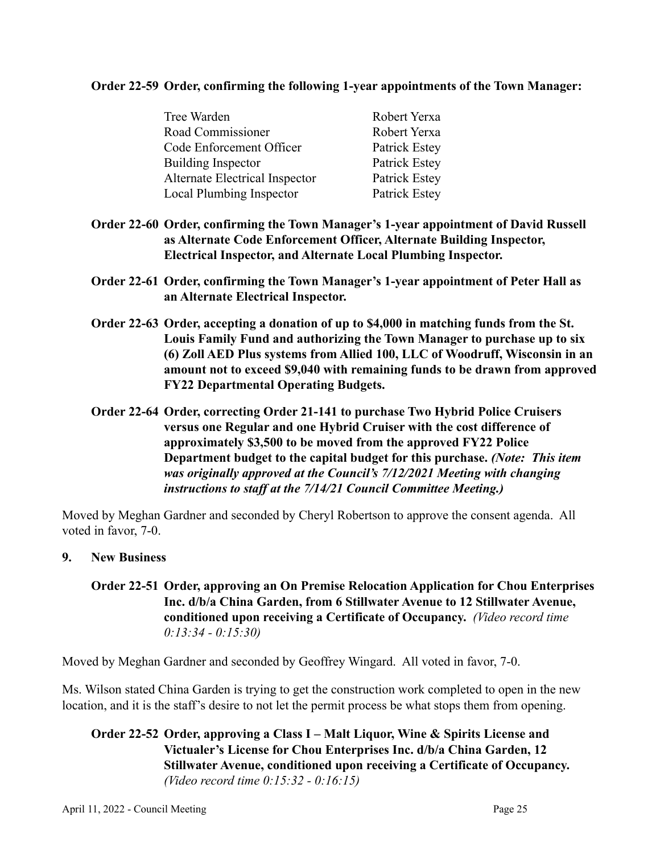#### **Order 22-59 Order, confirming the following 1-year appointments of the Town Manager:**

| Tree Warden                     | Robert Yerxa  |
|---------------------------------|---------------|
| Road Commissioner               | Robert Yerxa  |
| Code Enforcement Officer        | Patrick Estey |
| <b>Building Inspector</b>       | Patrick Estey |
| Alternate Electrical Inspector  | Patrick Estey |
| <b>Local Plumbing Inspector</b> | Patrick Estey |

- **Order 22-60 Order, confirming the Town Manager's 1-year appointment of David Russell as Alternate Code Enforcement Officer, Alternate Building Inspector, Electrical Inspector, and Alternate Local Plumbing Inspector.**
- **Order 22-61 Order, confirming the Town Manager's 1-year appointment of Peter Hall as an Alternate Electrical Inspector.**
- **Order 22-63 Order, accepting a donation of up to \$4,000 in matching funds from the St. Louis Family Fund and authorizing the Town Manager to purchase up to six (6) Zoll AED Plus systems from Allied 100, LLC of Woodruff, Wisconsin in an amount not to exceed \$9,040 with remaining funds to be drawn from approved FY22 Departmental Operating Budgets.**
- **Order 22-64 Order, correcting Order 21-141 to purchase Two Hybrid Police Cruisers versus one Regular and one Hybrid Cruiser with the cost difference of approximately \$3,500 to be moved from the approved FY22 Police Department budget to the capital budget for this purchase.** *(Note: This item was originally approved at the Council's 7/12/2021 Meeting with changing instructions to staff at the 7/14/21 Council Committee Meeting.)*

Moved by Meghan Gardner and seconded by Cheryl Robertson to approve the consent agenda. All voted in favor, 7-0.

**9. New Business**

## **Order 22-51 Order, approving an On Premise Relocation Application for Chou Enterprises Inc. d/b/a China Garden, from 6 Stillwater Avenue to 12 Stillwater Avenue, conditioned upon receiving a Certificate of Occupancy.** *(Video record time 0:13:34 - 0:15:30)*

Moved by Meghan Gardner and seconded by Geoffrey Wingard. All voted in favor, 7-0.

Ms. Wilson stated China Garden is trying to get the construction work completed to open in the new location, and it is the staff's desire to not let the permit process be what stops them from opening.

#### **Order 22-52 Order, approving a Class I – Malt Liquor, Wine & Spirits License and Victualer's License for Chou Enterprises Inc. d/b/a China Garden, 12 Stillwater Avenue, conditioned upon receiving a Certificate of Occupancy.** *(Video record time 0:15:32 - 0:16:15)*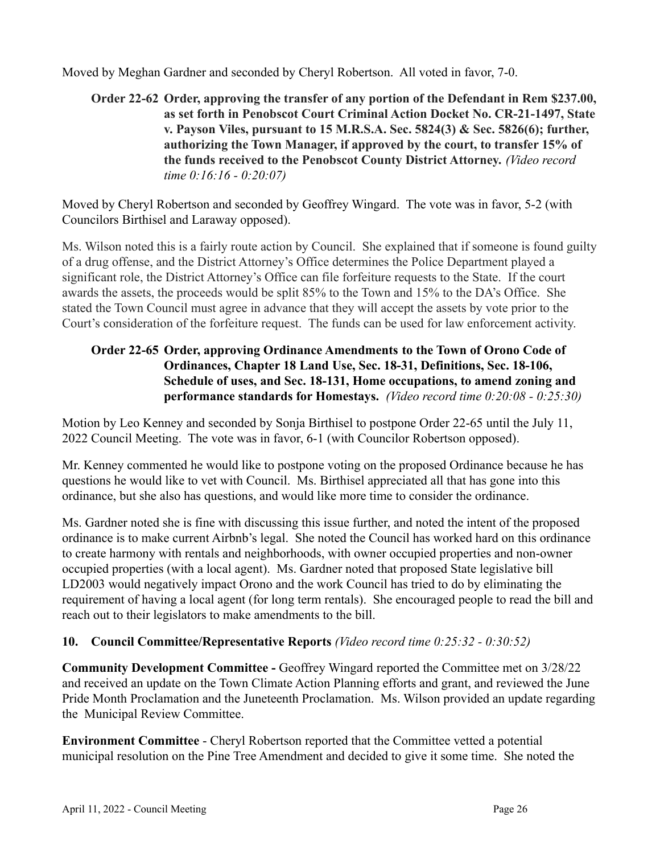Moved by Meghan Gardner and seconded by Cheryl Robertson. All voted in favor, 7-0.

**Order 22-62 Order, approving the transfer of any portion of the Defendant in Rem \$237.00, as set forth in Penobscot Court Criminal Action Docket No. CR-21-1497, State v. Payson Viles, pursuant to 15 M.R.S.A. Sec. 5824(3) & Sec. 5826(6); further, authorizing the Town Manager, if approved by the court, to transfer 15% of the funds received to the Penobscot County District Attorney.** *(Video record time 0:16:16 - 0:20:07)*

Moved by Cheryl Robertson and seconded by Geoffrey Wingard. The vote was in favor, 5-2 (with Councilors Birthisel and Laraway opposed).

Ms. Wilson noted this is a fairly route action by Council. She explained that if someone is found guilty of a drug offense, and the District Attorney's Office determines the Police Department played a significant role, the District Attorney's Office can file forfeiture requests to the State. If the court awards the assets, the proceeds would be split 85% to the Town and 15% to the DA's Office. She stated the Town Council must agree in advance that they will accept the assets by vote prior to the Court's consideration of the forfeiture request. The funds can be used for law enforcement activity.

## **Order 22-65 Order, approving Ordinance Amendments to the Town of Orono Code of Ordinances, Chapter 18 Land Use, Sec. 18-31, Definitions, Sec. 18-106, Schedule of uses, and Sec. 18-131, Home occupations, to amend zoning and performance standards for Homestays.** *(Video record time 0:20:08 - 0:25:30)*

Motion by Leo Kenney and seconded by Sonja Birthisel to postpone Order 22-65 until the July 11, 2022 Council Meeting. The vote was in favor, 6-1 (with Councilor Robertson opposed).

Mr. Kenney commented he would like to postpone voting on the proposed Ordinance because he has questions he would like to vet with Council. Ms. Birthisel appreciated all that has gone into this ordinance, but she also has questions, and would like more time to consider the ordinance.

Ms. Gardner noted she is fine with discussing this issue further, and noted the intent of the proposed ordinance is to make current Airbnb's legal. She noted the Council has worked hard on this ordinance to create harmony with rentals and neighborhoods, with owner occupied properties and non-owner occupied properties (with a local agent). Ms. Gardner noted that proposed State legislative bill LD2003 would negatively impact Orono and the work Council has tried to do by eliminating the requirement of having a local agent (for long term rentals). She encouraged people to read the bill and reach out to their legislators to make amendments to the bill.

## **10. Council Committee/Representative Reports** *(Video record time 0:25:32 - 0:30:52)*

**Community Development Committee -** Geoffrey Wingard reported the Committee met on 3/28/22 and received an update on the Town Climate Action Planning efforts and grant, and reviewed the June Pride Month Proclamation and the Juneteenth Proclamation. Ms. Wilson provided an update regarding the Municipal Review Committee.

**Environment Committee** - Cheryl Robertson reported that the Committee vetted a potential municipal resolution on the Pine Tree Amendment and decided to give it some time. She noted the